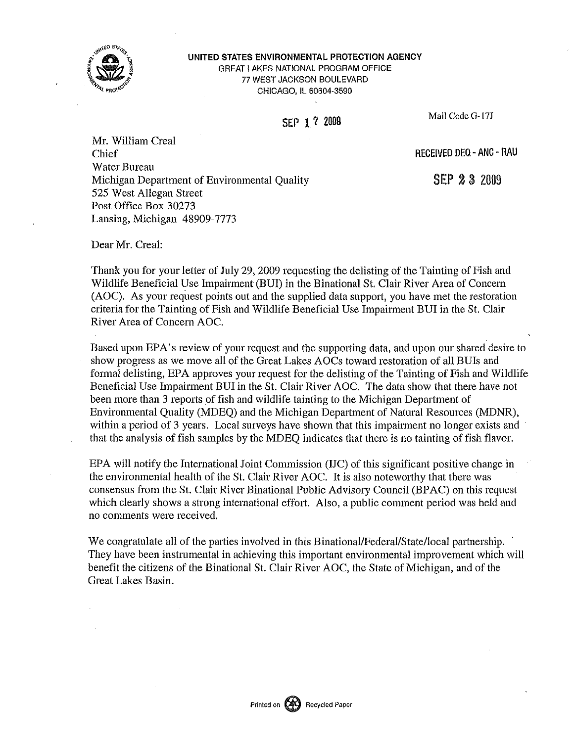

#### UNITED STATES ENVIRONMENTAL PROTECTION AGENCY GREAT LAKES NATIONAL PROGRAM OFFICE 77 WEST JACKSON BOULEVARD CHICAGO, IL 60604-3590

SEP 1 7 2009 Mail Code G-17J

Mr. William Creal Chief RECEIVED DEQ- ANC - RAU Water Bureau Michigan Department of Environmental Quality 525 West Allegan Street Post Office Box 30273 Lansing, Michigan 48909-7773

SEP 2 3 2009

Dear Mr. Creal:

Thank you for your letter of July 29, 2009 requesting the delisting of the Tainting of Fish and Wildlife Beneficial Use Impairment (BUI) in the Binational St. Clair River Area of Concern (AOC). As your request points out and the supplied data support, you have met the restoration criteria for the Tainting of Fish and Wildlife Beneficial Use Impairment BUI in the St. Clair River Area of Concern AOC.

Based upon EPA's review of your request and the supporting data, and upon our shared desire to show progress as we move all of the Great Lakes AOCs toward restoration of all BUis and formal delisting, EPA approves your request for the delisting of the Tainting of Fish and Wildlife Beneficial Use Impairment BUI in the St. Clair River AOC. The data show that there have not been more than 3 reports of fish and wildlife tainting to the Michigan Department of Environmental Quality (MDEQ) and the Michigan Department of Natural Resources (MDNR), within a period of 3 years. Local surveys have shown that this impairment no longer exists and that the analysis of fish samples by the MDEQ indicates that there is no tainting of fish flavor.

EPA will notify the International Joint Commission (IJC) of this significant positive change in the environmental health of the St. Clair River AOC. It is also noteworthy that there was consensus from the St. Clair River Binational Public Advisory Council (BPAC) on this request which clearly shows a strong international effort. Also, a public comment period was held and no comments were received.

We congratulate all of the parties involved in this Binational/Federal/State/local partnership. They have been instrumental in achieving this important environmental improvement which will benefit the citizens of the Binational St. Clair River AOC, the State of Michigan, and of the Great Lakes Basin.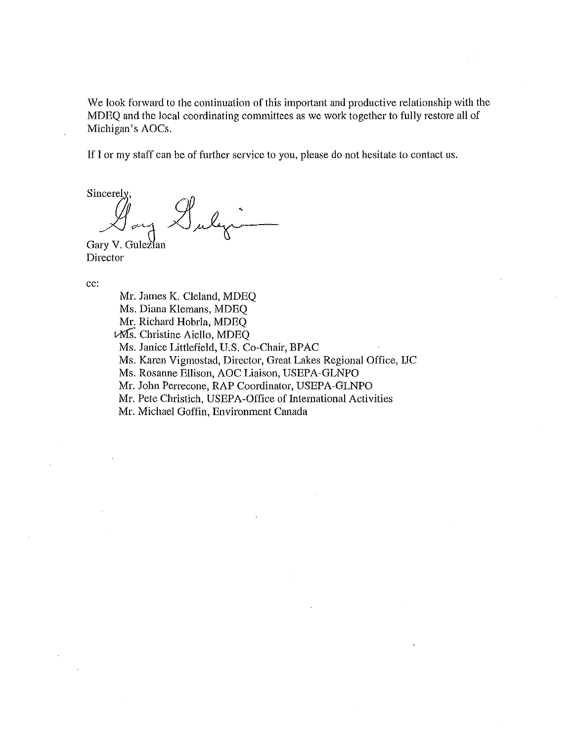We look forward to the continuation of this important and productive relationship with the MDEQ and the local coordinating committees as we work together to fully restore all of Michigan's AOCs.

If I or my staff can be of further service to you, please do not hesitate to contact us.

Sincerely ""JL

Gary V. Gulezian Director

cc:

Mr. James K. Cleland, MDEQ Ms. Diana Klemans, MDEQ Mr. Richard Hobrla, MDEQ vMS. Christine Aiello, MDEQ Ms. Janice Littlefield, U.S. Co-Chair, BPAC Ms. Karen Vigmostad, Director, Great Lakes Regional Office, IJC Ms. Rosanne Ellison, AOC Liaison, USEPA-GLNPO Mr. John Perrecone, RAP Coordinator, USEPA-GLNPO Mr. Pete Christich, USEPA-Office of Intemational Activities Mr. Michael Goffin, Environment Canada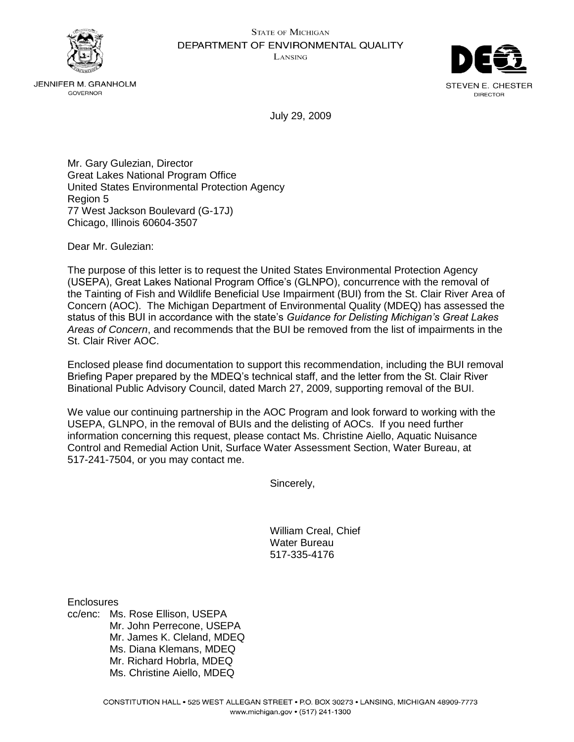



**JENNIFER M. GRANHOLM** GOVERNOR

July 29, 2009

Mr. Gary Gulezian, Director Great Lakes National Program Office United States Environmental Protection Agency Region 5 77 West Jackson Boulevard (G-17J) Chicago, Illinois 60604-3507

Dear Mr. Gulezian:

The purpose of this letter is to request the United States Environmental Protection Agency (USEPA), Great Lakes National Program Office's (GLNPO), concurrence with the removal of the Tainting of Fish and Wildlife Beneficial Use Impairment (BUI) from the St. Clair River Area of Concern (AOC). The Michigan Department of Environmental Quality (MDEQ) has assessed the status of this BUI in accordance with the state's *Guidance for Delisting Michigan's Great Lakes Areas of Concern*, and recommends that the BUI be removed from the list of impairments in the St. Clair River AOC.

Enclosed please find documentation to support this recommendation, including the BUI removal Briefing Paper prepared by the MDEQ's technical staff, and the letter from the St. Clair River Binational Public Advisory Council, dated March 27, 2009, supporting removal of the BUI.

We value our continuing partnership in the AOC Program and look forward to working with the USEPA, GLNPO, in the removal of BUIs and the delisting of AOCs. If you need further information concerning this request, please contact Ms. Christine Aiello, Aquatic Nuisance Control and Remedial Action Unit, Surface Water Assessment Section, Water Bureau, at 517-241-7504, or you may contact me.

Sincerely,

William Creal, Chief Water Bureau 517-335-4176

**Enclosures** 

cc/enc: Ms. Rose Ellison, USEPA Mr. John Perrecone, USEPA Mr. James K. Cleland, MDEQ Ms. Diana Klemans, MDEQ Mr. Richard Hobrla, MDEQ Ms. Christine Aiello, MDEQ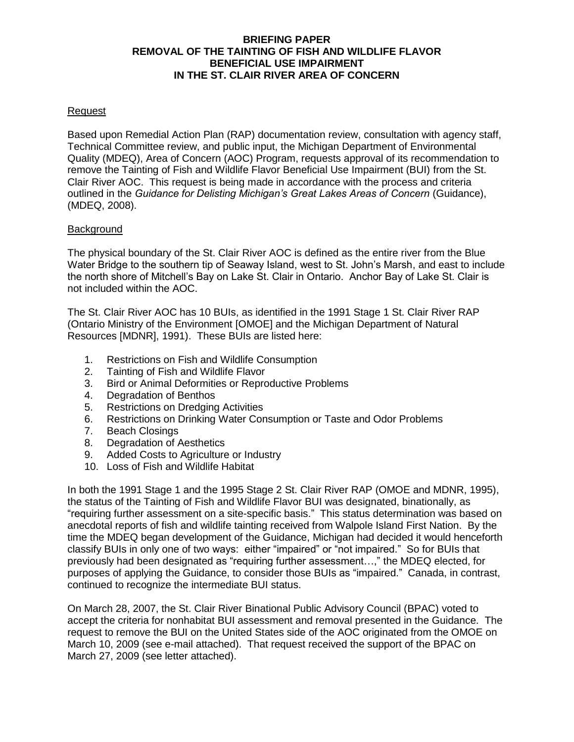# **BRIEFING PAPER REMOVAL OF THE TAINTING OF FISH AND WILDLIFE FLAVOR BENEFICIAL USE IMPAIRMENT IN THE ST. CLAIR RIVER AREA OF CONCERN**

## Request

Based upon Remedial Action Plan (RAP) documentation review, consultation with agency staff, Technical Committee review, and public input, the Michigan Department of Environmental Quality (MDEQ), Area of Concern (AOC) Program, requests approval of its recommendation to remove the Tainting of Fish and Wildlife Flavor Beneficial Use Impairment (BUI) from the St. Clair River AOC. This request is being made in accordance with the process and criteria outlined in the *Guidance for Delisting Michigan's Great Lakes Areas of Concern* (Guidance), (MDEQ, 2008).

#### Background

The physical boundary of the St. Clair River AOC is defined as the entire river from the Blue Water Bridge to the southern tip of Seaway Island, west to St. John's Marsh, and east to include the north shore of Mitchell's Bay on Lake St. Clair in Ontario. Anchor Bay of Lake St. Clair is not included within the AOC.

The St. Clair River AOC has 10 BUIs, as identified in the 1991 Stage 1 St. Clair River RAP (Ontario Ministry of the Environment [OMOE] and the Michigan Department of Natural Resources [MDNR], 1991). These BUIs are listed here:

- 1. Restrictions on Fish and Wildlife Consumption
- 2. Tainting of Fish and Wildlife Flavor
- 3. Bird or Animal Deformities or Reproductive Problems
- 4. Degradation of Benthos
- 5. Restrictions on Dredging Activities
- 6. Restrictions on Drinking Water Consumption or Taste and Odor Problems
- 7. Beach Closings
- 8. Degradation of Aesthetics
- 9. Added Costs to Agriculture or Industry
- 10. Loss of Fish and Wildlife Habitat

In both the 1991 Stage 1 and the 1995 Stage 2 St. Clair River RAP (OMOE and MDNR, 1995), the status of the Tainting of Fish and Wildlife Flavor BUI was designated, binationally, as "requiring further assessment on a site-specific basis." This status determination was based on anecdotal reports of fish and wildlife tainting received from Walpole Island First Nation. By the time the MDEQ began development of the Guidance, Michigan had decided it would henceforth classify BUIs in only one of two ways: either "impaired" or "not impaired." So for BUIs that previously had been designated as "requiring further assessment…," the MDEQ elected, for purposes of applying the Guidance, to consider those BUIs as "impaired." Canada, in contrast, continued to recognize the intermediate BUI status.

On March 28, 2007, the St. Clair River Binational Public Advisory Council (BPAC) voted to accept the criteria for nonhabitat BUI assessment and removal presented in the Guidance. The request to remove the BUI on the United States side of the AOC originated from the OMOE on March 10, 2009 (see e-mail attached). That request received the support of the BPAC on March 27, 2009 (see letter attached).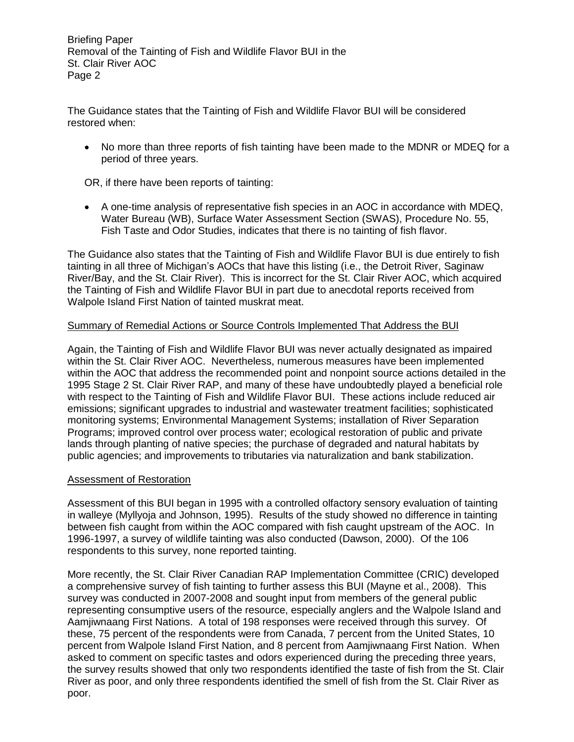Briefing Paper Removal of the Tainting of Fish and Wildlife Flavor BUI in the St. Clair River AOC Page 2

The Guidance states that the Tainting of Fish and Wildlife Flavor BUI will be considered restored when:

• No more than three reports of fish tainting have been made to the MDNR or MDEQ for a period of three years.

OR, if there have been reports of tainting:

 A one-time analysis of representative fish species in an AOC in accordance with MDEQ, Water Bureau (WB), Surface Water Assessment Section (SWAS), Procedure No. 55, Fish Taste and Odor Studies, indicates that there is no tainting of fish flavor.

The Guidance also states that the Tainting of Fish and Wildlife Flavor BUI is due entirely to fish tainting in all three of Michigan's AOCs that have this listing (i.e., the Detroit River, Saginaw River/Bay, and the St. Clair River). This is incorrect for the St. Clair River AOC, which acquired the Tainting of Fish and Wildlife Flavor BUI in part due to anecdotal reports received from Walpole Island First Nation of tainted muskrat meat.

# Summary of Remedial Actions or Source Controls Implemented That Address the BUI

Again, the Tainting of Fish and Wildlife Flavor BUI was never actually designated as impaired within the St. Clair River AOC. Nevertheless, numerous measures have been implemented within the AOC that address the recommended point and nonpoint source actions detailed in the 1995 Stage 2 St. Clair River RAP, and many of these have undoubtedly played a beneficial role with respect to the Tainting of Fish and Wildlife Flavor BUI. These actions include reduced air emissions; significant upgrades to industrial and wastewater treatment facilities; sophisticated monitoring systems; Environmental Management Systems; installation of River Separation Programs; improved control over process water; ecological restoration of public and private lands through planting of native species; the purchase of degraded and natural habitats by public agencies; and improvements to tributaries via naturalization and bank stabilization.

# Assessment of Restoration

Assessment of this BUI began in 1995 with a controlled olfactory sensory evaluation of tainting in walleye (Myllyoja and Johnson, 1995). Results of the study showed no difference in tainting between fish caught from within the AOC compared with fish caught upstream of the AOC. In 1996-1997, a survey of wildlife tainting was also conducted (Dawson, 2000). Of the 106 respondents to this survey, none reported tainting.

More recently, the St. Clair River Canadian RAP Implementation Committee (CRIC) developed a comprehensive survey of fish tainting to further assess this BUI (Mayne et al., 2008). This survey was conducted in 2007-2008 and sought input from members of the general public representing consumptive users of the resource, especially anglers and the Walpole Island and Aamjiwnaang First Nations. A total of 198 responses were received through this survey. Of these, 75 percent of the respondents were from Canada, 7 percent from the United States, 10 percent from Walpole Island First Nation, and 8 percent from Aamjiwnaang First Nation. When asked to comment on specific tastes and odors experienced during the preceding three years, the survey results showed that only two respondents identified the taste of fish from the St. Clair River as poor, and only three respondents identified the smell of fish from the St. Clair River as poor.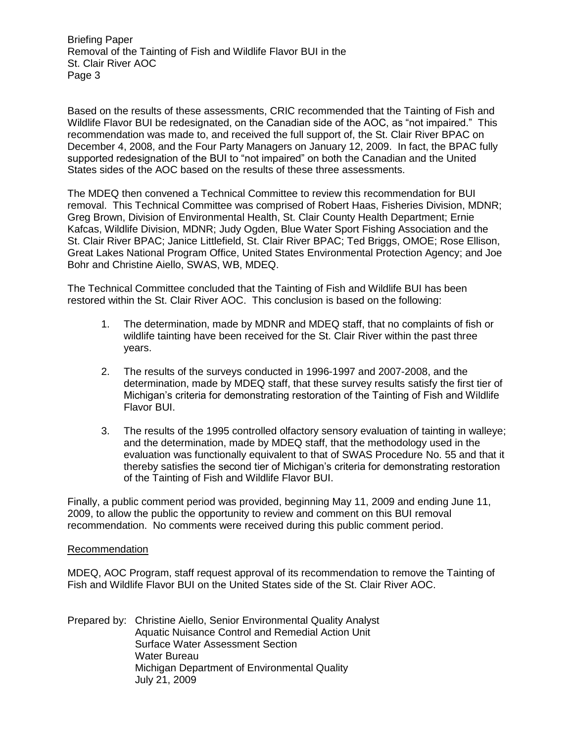Briefing Paper Removal of the Tainting of Fish and Wildlife Flavor BUI in the St. Clair River AOC Page 3

Based on the results of these assessments, CRIC recommended that the Tainting of Fish and Wildlife Flavor BUI be redesignated, on the Canadian side of the AOC, as "not impaired." This recommendation was made to, and received the full support of, the St. Clair River BPAC on December 4, 2008, and the Four Party Managers on January 12, 2009. In fact, the BPAC fully supported redesignation of the BUI to "not impaired" on both the Canadian and the United States sides of the AOC based on the results of these three assessments.

The MDEQ then convened a Technical Committee to review this recommendation for BUI removal. This Technical Committee was comprised of Robert Haas, Fisheries Division, MDNR; Greg Brown, Division of Environmental Health, St. Clair County Health Department; Ernie Kafcas, Wildlife Division, MDNR; Judy Ogden, Blue Water Sport Fishing Association and the St. Clair River BPAC; Janice Littlefield, St. Clair River BPAC; Ted Briggs, OMOE; Rose Ellison, Great Lakes National Program Office, United States Environmental Protection Agency; and Joe Bohr and Christine Aiello, SWAS, WB, MDEQ.

The Technical Committee concluded that the Tainting of Fish and Wildlife BUI has been restored within the St. Clair River AOC. This conclusion is based on the following:

- 1. The determination, made by MDNR and MDEQ staff, that no complaints of fish or wildlife tainting have been received for the St. Clair River within the past three years.
- 2. The results of the surveys conducted in 1996-1997 and 2007-2008, and the determination, made by MDEQ staff, that these survey results satisfy the first tier of Michigan's criteria for demonstrating restoration of the Tainting of Fish and Wildlife Flavor BUI.
- 3. The results of the 1995 controlled olfactory sensory evaluation of tainting in walleye; and the determination, made by MDEQ staff, that the methodology used in the evaluation was functionally equivalent to that of SWAS Procedure No. 55 and that it thereby satisfies the second tier of Michigan's criteria for demonstrating restoration of the Tainting of Fish and Wildlife Flavor BUI.

Finally, a public comment period was provided, beginning May 11, 2009 and ending June 11, 2009, to allow the public the opportunity to review and comment on this BUI removal recommendation. No comments were received during this public comment period.

#### Recommendation

MDEQ, AOC Program, staff request approval of its recommendation to remove the Tainting of Fish and Wildlife Flavor BUI on the United States side of the St. Clair River AOC.

Prepared by: Christine Aiello, Senior Environmental Quality Analyst Aquatic Nuisance Control and Remedial Action Unit Surface Water Assessment Section Water Bureau Michigan Department of Environmental Quality July 21, 2009